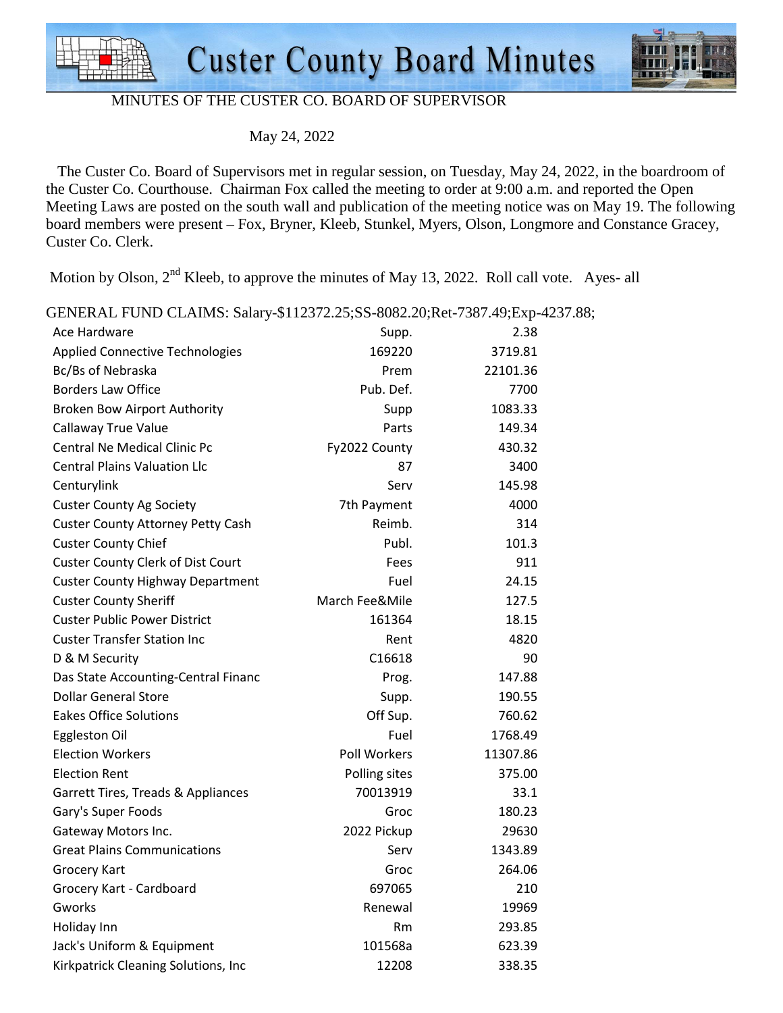



### MINUTES OF THE CUSTER CO. BOARD OF SUPERVISOR

May 24, 2022

 The Custer Co. Board of Supervisors met in regular session, on Tuesday, May 24, 2022, in the boardroom of the Custer Co. Courthouse. Chairman Fox called the meeting to order at 9:00 a.m. and reported the Open Meeting Laws are posted on the south wall and publication of the meeting notice was on May 19. The following board members were present – Fox, Bryner, Kleeb, Stunkel, Myers, Olson, Longmore and Constance Gracey, Custer Co. Clerk.

Motion by Olson, 2<sup>nd</sup> Kleeb, to approve the minutes of May 13, 2022. Roll call vote. Ayes- all

| GENERAL FUND CLAINIS: Salary-\$112372.25;SS-8082.20;Ret-7587.49;Exp-425 |                |          |
|-------------------------------------------------------------------------|----------------|----------|
| Ace Hardware                                                            | Supp.          | 2.38     |
| <b>Applied Connective Technologies</b>                                  | 169220         | 3719.81  |
| Bc/Bs of Nebraska                                                       | Prem           | 22101.36 |
| <b>Borders Law Office</b>                                               | Pub. Def.      | 7700     |
| <b>Broken Bow Airport Authority</b>                                     | Supp           | 1083.33  |
| Callaway True Value                                                     | Parts          | 149.34   |
| <b>Central Ne Medical Clinic Pc</b>                                     | Fy2022 County  | 430.32   |
| <b>Central Plains Valuation Llc</b>                                     | 87             | 3400     |
| Centurylink                                                             | Serv           | 145.98   |
| <b>Custer County Ag Society</b>                                         | 7th Payment    | 4000     |
| <b>Custer County Attorney Petty Cash</b>                                | Reimb.         | 314      |
| <b>Custer County Chief</b>                                              | Publ.          | 101.3    |
| <b>Custer County Clerk of Dist Court</b>                                | Fees           | 911      |
| <b>Custer County Highway Department</b>                                 | Fuel           | 24.15    |
| <b>Custer County Sheriff</b>                                            | March Fee&Mile | 127.5    |
| <b>Custer Public Power District</b>                                     | 161364         | 18.15    |
| <b>Custer Transfer Station Inc</b>                                      | Rent           | 4820     |
| D & M Security                                                          | C16618         | 90       |
| Das State Accounting-Central Financ                                     | Prog.          | 147.88   |
| <b>Dollar General Store</b>                                             | Supp.          | 190.55   |
| <b>Eakes Office Solutions</b>                                           | Off Sup.       | 760.62   |
| <b>Eggleston Oil</b>                                                    | Fuel           | 1768.49  |
| <b>Election Workers</b>                                                 | Poll Workers   | 11307.86 |
| <b>Election Rent</b>                                                    | Polling sites  | 375.00   |
| Garrett Tires, Treads & Appliances                                      | 70013919       | 33.1     |
| Gary's Super Foods                                                      | Groc           | 180.23   |
| Gateway Motors Inc.                                                     | 2022 Pickup    | 29630    |
| <b>Great Plains Communications</b>                                      | Serv           | 1343.89  |
| <b>Grocery Kart</b>                                                     | Groc           | 264.06   |
| Grocery Kart - Cardboard                                                | 697065         | 210      |
| Gworks                                                                  | Renewal        | 19969    |
| Holiday Inn                                                             | Rm             | 293.85   |
| Jack's Uniform & Equipment                                              | 101568a        | 623.39   |
| Kirkpatrick Cleaning Solutions, Inc                                     | 12208          | 338.35   |

GENERAL FUND CLAIMS: Salary-\$112372.25;SS-8082.20;Ret-7387.49;Exp-4237.88;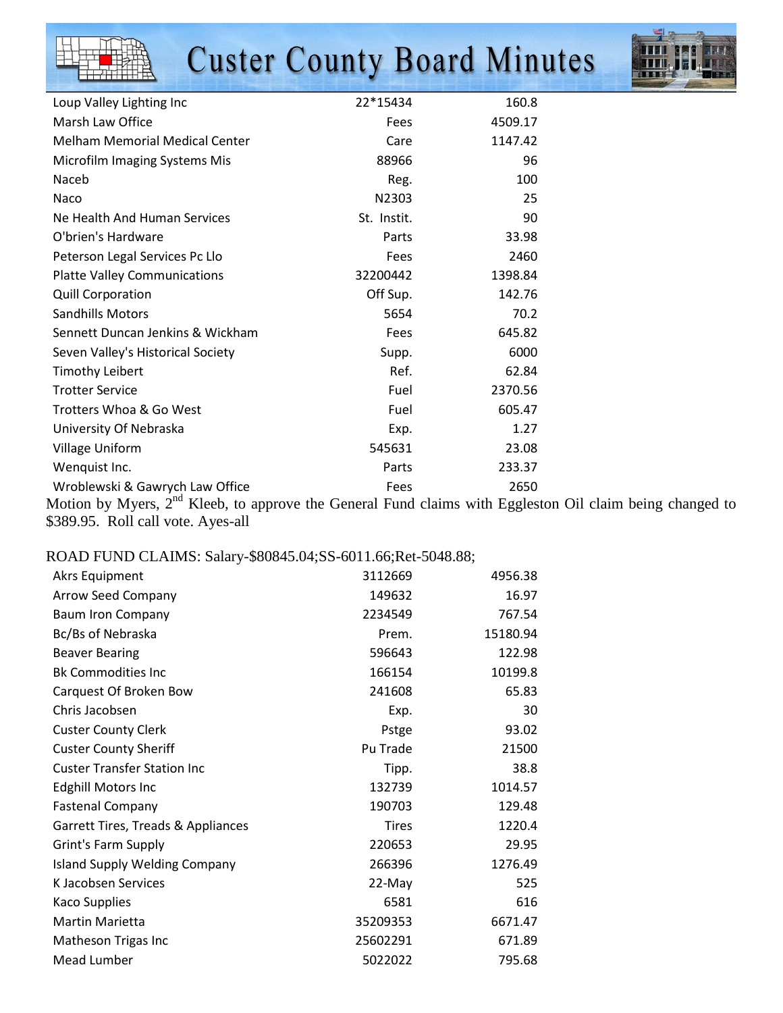|  | <b>Custer County Board Minutes</b> |  |  |  |
|--|------------------------------------|--|--|--|
|--|------------------------------------|--|--|--|



| Loup Valley Lighting Inc              | 22*15434    | 160.8   |
|---------------------------------------|-------------|---------|
| Marsh Law Office                      | Fees        | 4509.17 |
| <b>Melham Memorial Medical Center</b> | Care        | 1147.42 |
| Microfilm Imaging Systems Mis         | 88966       | 96      |
| Naceb                                 | Reg.        | 100     |
| Naco                                  | N2303       | 25      |
| Ne Health And Human Services          | St. Instit. | 90      |
| O'brien's Hardware                    | Parts       | 33.98   |
| Peterson Legal Services Pc Llo        | Fees        | 2460    |
| <b>Platte Valley Communications</b>   | 32200442    | 1398.84 |
| <b>Quill Corporation</b>              | Off Sup.    | 142.76  |
| Sandhills Motors                      | 5654        | 70.2    |
| Sennett Duncan Jenkins & Wickham      | Fees        | 645.82  |
| Seven Valley's Historical Society     | Supp.       | 6000    |
| <b>Timothy Leibert</b>                | Ref.        | 62.84   |
| <b>Trotter Service</b>                | Fuel        | 2370.56 |
| Trotters Whoa & Go West               | Fuel        | 605.47  |
| University Of Nebraska                | Exp.        | 1.27    |
| Village Uniform                       | 545631      | 23.08   |
| Wenquist Inc.                         | Parts       | 233.37  |
| Wroblewski & Gawrych Law Office       | Fees        | 2650    |

Motion by Myers,  $2<sup>nd</sup>$  Kleeb, to approve the General Fund claims with Eggleston Oil claim being changed to \$389.95. Roll call vote. Ayes-all

## ROAD FUND CLAIMS: Salary-\$80845.04;SS-6011.66;Ret-5048.88;

| <b>Akrs Equipment</b>                | 3112669      | 4956.38  |
|--------------------------------------|--------------|----------|
| <b>Arrow Seed Company</b>            | 149632       | 16.97    |
| <b>Baum Iron Company</b>             | 2234549      | 767.54   |
| Bc/Bs of Nebraska                    | Prem.        | 15180.94 |
| <b>Beaver Bearing</b>                | 596643       | 122.98   |
| <b>Bk Commodities Inc</b>            | 166154       | 10199.8  |
| Carquest Of Broken Bow               | 241608       | 65.83    |
| Chris Jacobsen                       | Exp.         | 30       |
| <b>Custer County Clerk</b>           | Pstge        | 93.02    |
| <b>Custer County Sheriff</b>         | Pu Trade     | 21500    |
| <b>Custer Transfer Station Inc</b>   | Tipp.        | 38.8     |
| <b>Edghill Motors Inc</b>            | 132739       | 1014.57  |
| <b>Fastenal Company</b>              | 190703       | 129.48   |
| Garrett Tires, Treads & Appliances   | <b>Tires</b> | 1220.4   |
| <b>Grint's Farm Supply</b>           | 220653       | 29.95    |
| <b>Island Supply Welding Company</b> | 266396       | 1276.49  |
| K Jacobsen Services                  | $22$ -May    | 525      |
| Kaco Supplies                        | 6581         | 616      |
| Martin Marietta                      | 35209353     | 6671.47  |
| Matheson Trigas Inc                  | 25602291     | 671.89   |
| Mead Lumber                          | 5022022      | 795.68   |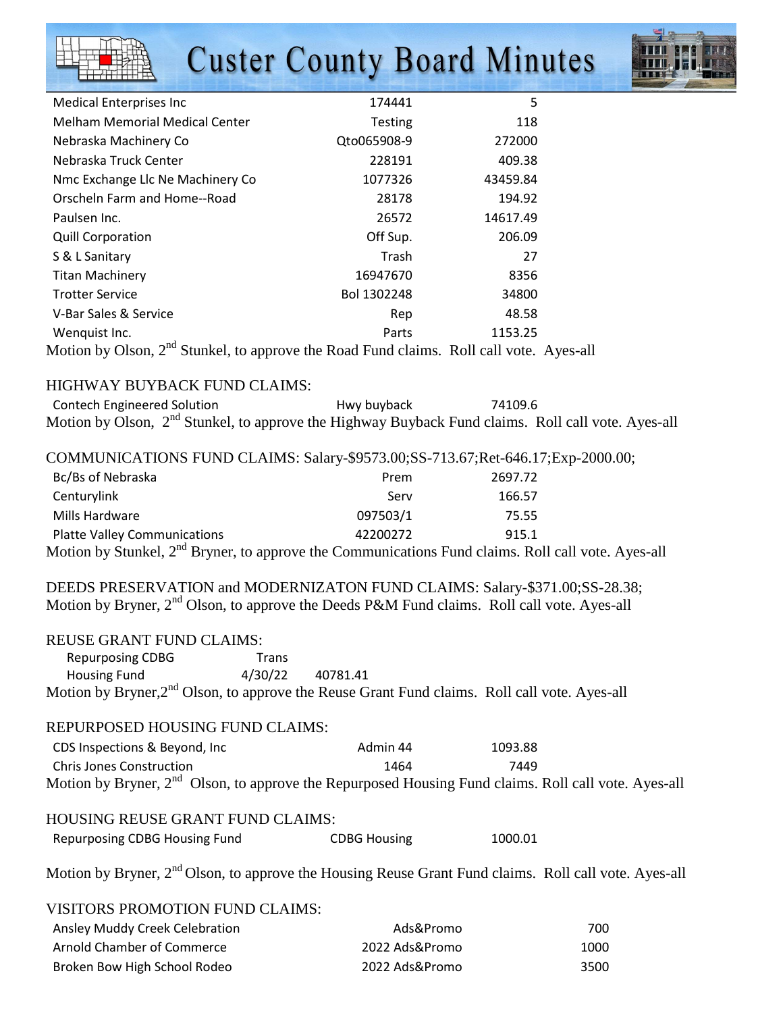# **Custer County Board Minutes**



| <b>Medical Enterprises Inc</b>                                                                                    | 174441              | 5        |      |
|-------------------------------------------------------------------------------------------------------------------|---------------------|----------|------|
| <b>Melham Memorial Medical Center</b>                                                                             | Testing             | 118      |      |
| Nebraska Machinery Co                                                                                             | Qto065908-9         | 272000   |      |
| Nebraska Truck Center                                                                                             | 228191              | 409.38   |      |
| Nmc Exchange Llc Ne Machinery Co                                                                                  | 1077326             | 43459.84 |      |
| Orscheln Farm and Home--Road                                                                                      | 28178               | 194.92   |      |
| Paulsen Inc.                                                                                                      | 26572               | 14617.49 |      |
| <b>Quill Corporation</b>                                                                                          | Off Sup.            | 206.09   |      |
| S & L Sanitary                                                                                                    | Trash               | 27       |      |
| <b>Titan Machinery</b>                                                                                            | 16947670            | 8356     |      |
| <b>Trotter Service</b>                                                                                            | Bol 1302248         | 34800    |      |
| V-Bar Sales & Service                                                                                             | Rep                 | 48.58    |      |
| Wenquist Inc.                                                                                                     | Parts               | 1153.25  |      |
| Motion by Olson, 2 <sup>nd</sup> Stunkel, to approve the Road Fund claims. Roll call vote. Ayes-all               |                     |          |      |
|                                                                                                                   |                     |          |      |
| HIGHWAY BUYBACK FUND CLAIMS:                                                                                      |                     |          |      |
| <b>Contech Engineered Solution</b>                                                                                | Hwy buyback         | 74109.6  |      |
| Motion by Olson, 2 <sup>nd</sup> Stunkel, to approve the Highway Buyback Fund claims. Roll call vote. Ayes-all    |                     |          |      |
|                                                                                                                   |                     |          |      |
| COMMUNICATIONS FUND CLAIMS: Salary-\$9573.00; SS-713.67; Ret-646.17; Exp-2000.00;                                 |                     |          |      |
| Bc/Bs of Nebraska                                                                                                 | Prem                | 2697.72  |      |
| Centurylink                                                                                                       | Serv                | 166.57   |      |
| Mills Hardware                                                                                                    | 097503/1            | 75.55    |      |
| <b>Platte Valley Communications</b>                                                                               | 42200272            | 915.1    |      |
| Motion by Stunkel, 2 <sup>nd</sup> Bryner, to approve the Communications Fund claims. Roll call vote. Ayes-all    |                     |          |      |
| DEEDS PRESERVATION and MODERNIZATON FUND CLAIMS: Salary-\$371.00;SS-28.38;                                        |                     |          |      |
| Motion by Bryner, 2 <sup>nd</sup> Olson, to approve the Deeds P&M Fund claims. Roll call vote. Ayes-all           |                     |          |      |
|                                                                                                                   |                     |          |      |
| <b>REUSE GRANT FUND CLAIMS:</b>                                                                                   |                     |          |      |
| <b>Repurposing CDBG</b><br><b>Trans</b>                                                                           |                     |          |      |
| 4/30/22<br><b>Housing Fund</b>                                                                                    | 40781.41            |          |      |
| Motion by Bryner, 2 <sup>nd</sup> Olson, to approve the Reuse Grant Fund claims. Roll call vote. Ayes-all         |                     |          |      |
|                                                                                                                   |                     |          |      |
| REPURPOSED HOUSING FUND CLAIMS:                                                                                   |                     |          |      |
| CDS Inspections & Beyond, Inc                                                                                     | Admin 44            | 1093.88  |      |
| <b>Chris Jones Construction</b>                                                                                   | 1464                | 7449     |      |
| Motion by Bryner, 2 <sup>nd</sup> Olson, to approve the Repurposed Housing Fund claims. Roll call vote. Ayes-all  |                     |          |      |
|                                                                                                                   |                     |          |      |
| HOUSING REUSE GRANT FUND CLAIMS:                                                                                  |                     |          |      |
| Repurposing CDBG Housing Fund                                                                                     | <b>CDBG Housing</b> | 1000.01  |      |
| Motion by Bryner, 2 <sup>nd</sup> Olson, to approve the Housing Reuse Grant Fund claims. Roll call vote. Ayes-all |                     |          |      |
| <b>VISITORS PROMOTION FUND CLAIMS:</b>                                                                            |                     |          |      |
| Ansley Muddy Creek Celebration                                                                                    | Ads&Promo           |          | 700  |
| Arnold Chamber of Commerce                                                                                        | 2022 Ads&Promo      |          | 1000 |
|                                                                                                                   |                     |          |      |

2022 Ads&Promo

3500

Broken Bow High School Rodeo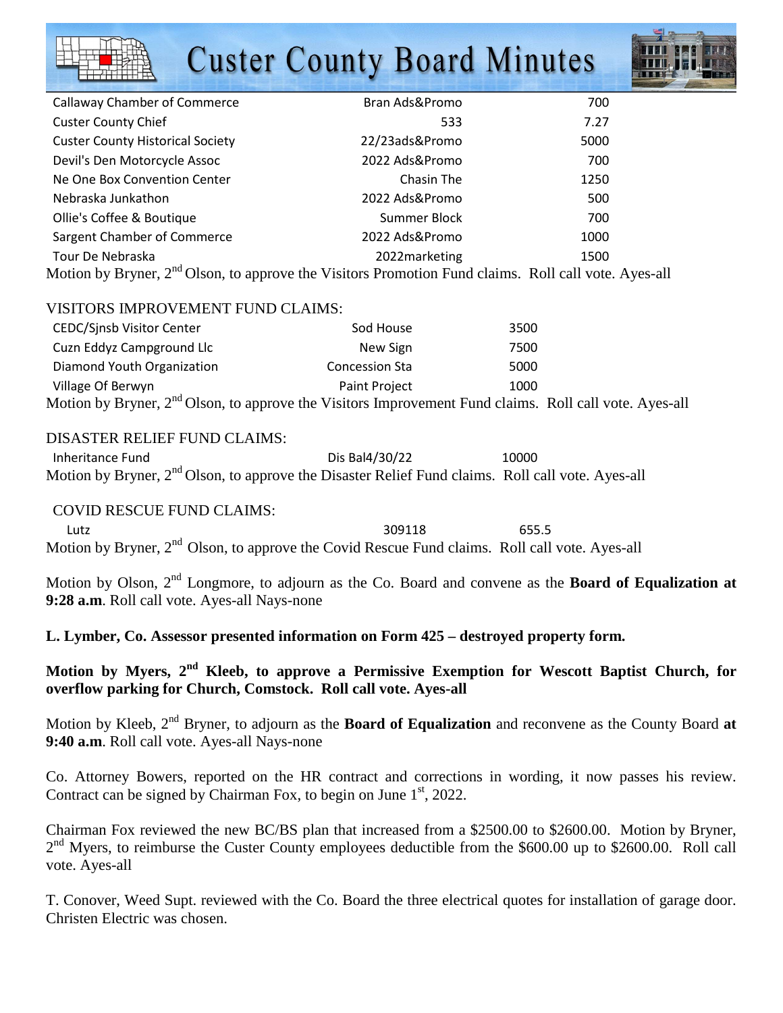# **Custer County Board Minutes**



| <b>Callaway Chamber of Commerce</b>                                                                              | Bran Ads&Promo | 700  |
|------------------------------------------------------------------------------------------------------------------|----------------|------|
| <b>Custer County Chief</b>                                                                                       | 533            | 7.27 |
| <b>Custer County Historical Society</b>                                                                          | 22/23ads&Promo | 5000 |
| Devil's Den Motorcycle Assoc                                                                                     | 2022 Ads&Promo | 700  |
| Ne One Box Convention Center                                                                                     | Chasin The     | 1250 |
| Nebraska Junkathon                                                                                               | 2022 Ads&Promo | 500  |
| Ollie's Coffee & Boutique                                                                                        | Summer Block   | 700  |
| Sargent Chamber of Commerce                                                                                      | 2022 Ads&Promo | 1000 |
| Tour De Nebraska                                                                                                 | 2022marketing  | 1500 |
| Motion by Bryner, 2 <sup>nd</sup> Olson, to approve the Visitors Promotion Fund claims. Roll call vote. Ayes-all |                |      |

# VISITORS IMPROVEMENT FUND CLAIMS:

| <b>CEDC/Sjnsb Visitor Center</b>                                                                                   | Sod House             | 3500 |  |
|--------------------------------------------------------------------------------------------------------------------|-----------------------|------|--|
| Cuzn Eddyz Campground Llc                                                                                          | New Sign              | 7500 |  |
| Diamond Youth Organization                                                                                         | <b>Concession Sta</b> | 5000 |  |
| Village Of Berwyn                                                                                                  | <b>Paint Project</b>  | 1000 |  |
| Motion by Bryner, 2 <sup>nd</sup> Olson, to approve the Visitors Improvement Fund claims. Roll call vote. Ayes-all |                       |      |  |

#### DISASTER RELIEF FUND CLAIMS:

Inheritance Fund Dis Bal4/30/22 10000 Motion by Bryner, 2<sup>nd</sup> Olson, to approve the Disaster Relief Fund claims. Roll call vote. Ayes-all

### COVID RESCUE FUND CLAIMS:

Lutz 309118 655.5 Motion by Bryner, 2<sup>nd</sup> Olson, to approve the Covid Rescue Fund claims. Roll call vote. Ayes-all

Motion by Olson, 2nd Longmore, to adjourn as the Co. Board and convene as the **Board of Equalization at 9:28 a.m**. Roll call vote. Ayes-all Nays-none

### **L. Lymber, Co. Assessor presented information on Form 425 – destroyed property form.**

# **Motion by Myers, 2nd Kleeb, to approve a Permissive Exemption for Wescott Baptist Church, for overflow parking for Church, Comstock. Roll call vote. Ayes-all**

Motion by Kleeb, 2<sup>nd</sup> Bryner, to adjourn as the **Board of Equalization** and reconvene as the County Board at **9:40 a.m**. Roll call vote. Ayes-all Nays-none

Co. Attorney Bowers, reported on the HR contract and corrections in wording, it now passes his review. Contract can be signed by Chairman Fox, to begin on June  $1<sup>st</sup>$ , 2022.

Chairman Fox reviewed the new BC/BS plan that increased from a \$2500.00 to \$2600.00. Motion by Bryner, 2<sup>nd</sup> Myers, to reimburse the Custer County employees deductible from the \$600.00 up to \$2600.00. Roll call vote. Ayes-all

T. Conover, Weed Supt. reviewed with the Co. Board the three electrical quotes for installation of garage door. Christen Electric was chosen.